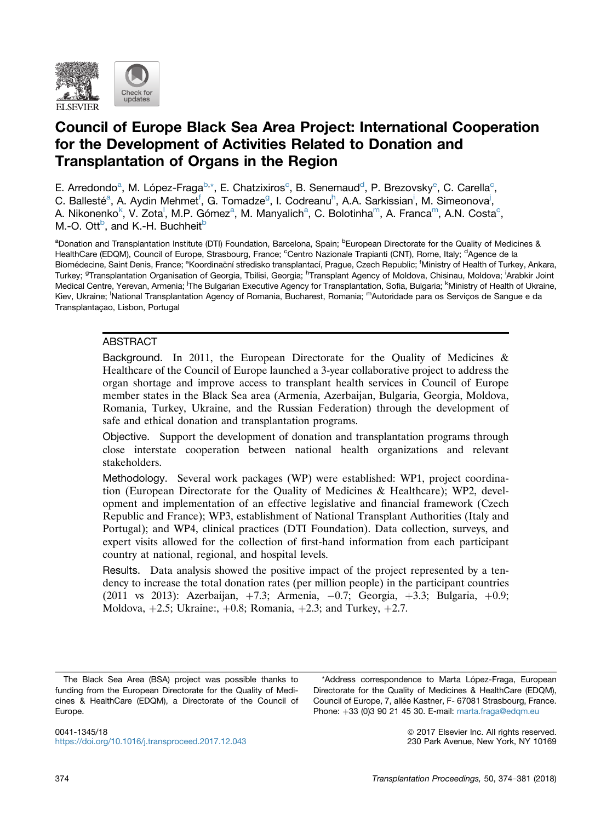

# Council of Europe Black Sea Area Project: International Cooperation for the Development of Activities Related to Donation and Transplantation of Organs in the Region

E. Arredondo<sup>a</sup>, M. López-Fraga<sup>b,</sup>\*, E. Chatzixiros<sup>c</sup>, B. Senemaud<sup>d</sup>, P. Brezovsky<sup>e</sup>, C. Carella<sup>c</sup>, C. Ballesté<sup>a</sup>, A. Aydin Mehmet<sup>f</sup>, G. Tomadze<sup>g</sup>, I. Codreanu<sup>h</sup>, A.A. Sarkissian<sup>i</sup>, M. Simeonova<sup>j</sup>, A. Nikonenko<sup>k</sup>, V. Zota<sup>l</sup>, M.P. Gómez<sup>a</sup>, M. Manyalich<sup>a</sup>, C. Bolotinha<sup>m</sup>, A. Franca<sup>m</sup>, A.N. Costa<sup>c</sup>, M.-O. Ott<sup>b</sup>, and K.-H. Buchheit<sup>b</sup>

<sup>a</sup>Donation and Transplantation Institute (DTI) Foundation, Barcelona, Spain; <sup>b</sup>European Directorate for the Quality of Medicines & HealthCare (EDQM), Council of Europe, Strasbourg, France; <sup>c</sup>Centro Nazionale Trapianti (CNT), Rome, Italy; <sup>d</sup>Agence de la Biomédecine, Saint Denis, France; <sup>e</sup>Koordinační středisko transplantací, Prague, Czech Republic; <sup>f</sup>Ministry of Health of Turkey, Ankara, Turkey; <sup>g</sup>Transplantation Organisation of Georgia, Tbilisi, Georgia; <sup>h</sup>Transplant Agency of Moldova, Chisinau, Moldova; <sup>i</sup>Arabkir Joint Medical Centre, Yerevan, Armenia; <sup>i</sup>The Bulgarian Executive Agency for Transplantation, Sofia, Bulgaria; <sup>k</sup>Ministry of Health of Ukraine, Kiev, Ukraine; <sup>I</sup>National Transplantation Agency of Romania, Bucharest, Romania; <sup>m</sup>Autoridade para os Serviços de Sangue e da Transplantaçao, Lisbon, Portugal

# ABSTRACT

Background. In 2011, the European Directorate for the Quality of Medicines  $\&$ Healthcare of the Council of Europe launched a 3-year collaborative project to address the organ shortage and improve access to transplant health services in Council of Europe member states in the Black Sea area (Armenia, Azerbaijan, Bulgaria, Georgia, Moldova, Romania, Turkey, Ukraine, and the Russian Federation) through the development of safe and ethical donation and transplantation programs.

Objective. Support the development of donation and transplantation programs through close interstate cooperation between national health organizations and relevant stakeholders.

Methodology. Several work packages (WP) were established: WP1, project coordination (European Directorate for the Quality of Medicines & Healthcare); WP2, development and implementation of an effective legislative and financial framework (Czech Republic and France); WP3, establishment of National Transplant Authorities (Italy and Portugal); and WP4, clinical practices (DTI Foundation). Data collection, surveys, and expert visits allowed for the collection of first-hand information from each participant country at national, regional, and hospital levels.

Results. Data analysis showed the positive impact of the project represented by a tendency to increase the total donation rates (per million people) in the participant countries (2011 vs 2013): Azerbaijan, +7.3; Armenia, -0.7; Georgia, +3.3; Bulgaria, +0.9; Moldova,  $+2.5$ ; Ukraine:,  $+0.8$ ; Romania,  $+2.3$ ; and Turkey,  $+2.7$ .

The Black Sea Area (BSA) project was possible thanks to funding from the European Directorate for the Quality of Medicines & HealthCare (EDQM), a Directorate of the Council of Europe.

\*Address correspondence to Marta López-Fraga, European Directorate for the Quality of Medicines & HealthCare (EDQM), Council of Europe, 7, allée Kastner, F- 67081 Strasbourg, France. Phone:  $+33$  (0)3 90 21 45 30. E-mail: [marta.fraga@edqm.eu](mailto:marta.fraga@edqm.eu)

0041-1345/18 <https://doi.org/10.1016/j.transproceed.2017.12.043> © 2017 Elsevier Inc. All rights reserved. 230 Park Avenue, New York, NY 10169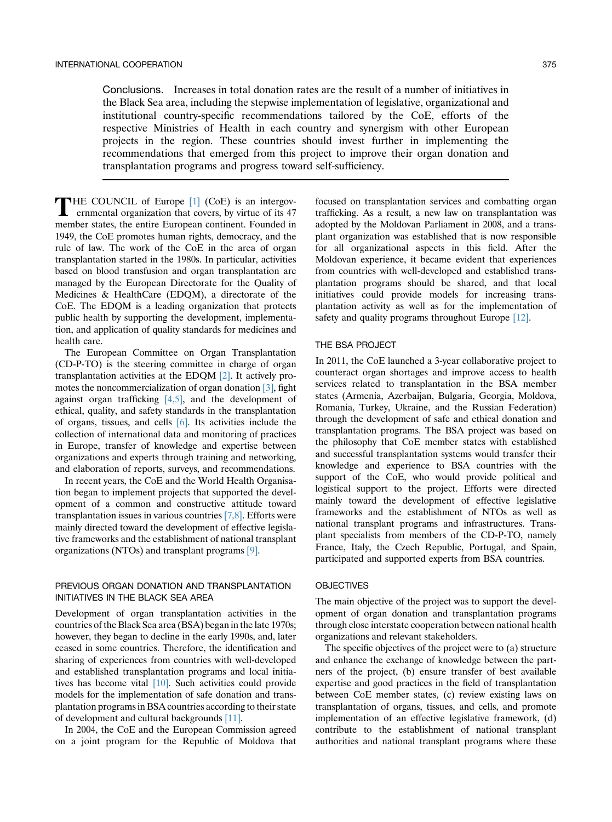Conclusions. Increases in total donation rates are the result of a number of initiatives in the Black Sea area, including the stepwise implementation of legislative, organizational and institutional country-specific recommendations tailored by the CoE, efforts of the respective Ministries of Health in each country and synergism with other European projects in the region. These countries should invest further in implementing the recommendations that emerged from this project to improve their organ donation and transplantation programs and progress toward self-sufficiency.

THE COUNCIL of Europe [\[1\]](#page-6-0) (CoE) is an intergovernmental organization that covers, by virtue of its 47 member states, the entire European continent. Founded in 1949, the CoE promotes human rights, democracy, and the rule of law. The work of the CoE in the area of organ transplantation started in the 1980s. In particular, activities based on blood transfusion and organ transplantation are managed by the European Directorate for the Quality of Medicines & HealthCare (EDQM), a directorate of the CoE. The EDQM is a leading organization that protects public health by supporting the development, implementation, and application of quality standards for medicines and health care.

The European Committee on Organ Transplantation (CD-P-TO) is the steering committee in charge of organ transplantation activities at the EDQM [\[2\].](#page-6-0) It actively promotes the noncommercialization of organ donation [\[3\],](#page-6-0) fight against organ trafficking  $[4,5]$ , and the development of ethical, quality, and safety standards in the transplantation of organs, tissues, and cells [\[6\].](#page-7-0) Its activities include the collection of international data and monitoring of practices in Europe, transfer of knowledge and expertise between organizations and experts through training and networking, and elaboration of reports, surveys, and recommendations.

In recent years, the CoE and the World Health Organisation began to implement projects that supported the development of a common and constructive attitude toward transplantation issues in various countries [\[7,8\]](#page-7-0). Efforts were mainly directed toward the development of effective legislative frameworks and the establishment of national transplant organizations (NTOs) and transplant programs [\[9\].](#page-7-0)

### PREVIOUS ORGAN DONATION AND TRANSPLANTATION INITIATIVES IN THE BLACK SEA AREA

Development of organ transplantation activities in the countries of the Black Sea area (BSA) began in the late 1970s; however, they began to decline in the early 1990s, and, later ceased in some countries. Therefore, the identification and sharing of experiences from countries with well-developed and established transplantation programs and local initiatives has become vital [\[10\].](#page-7-0) Such activities could provide models for the implementation of safe donation and transplantation programs in BSA countries according to their state of development and cultural backgrounds [\[11\]](#page-7-0).

In 2004, the CoE and the European Commission agreed on a joint program for the Republic of Moldova that focused on transplantation services and combatting organ trafficking. As a result, a new law on transplantation was adopted by the Moldovan Parliament in 2008, and a transplant organization was established that is now responsible for all organizational aspects in this field. After the Moldovan experience, it became evident that experiences from countries with well-developed and established transplantation programs should be shared, and that local initiatives could provide models for increasing transplantation activity as well as for the implementation of safety and quality programs throughout Europe [\[12\].](#page-7-0)

### THE BSA PROJECT

In 2011, the CoE launched a 3-year collaborative project to counteract organ shortages and improve access to health services related to transplantation in the BSA member states (Armenia, Azerbaijan, Bulgaria, Georgia, Moldova, Romania, Turkey, Ukraine, and the Russian Federation) through the development of safe and ethical donation and transplantation programs. The BSA project was based on the philosophy that CoE member states with established and successful transplantation systems would transfer their knowledge and experience to BSA countries with the support of the CoE, who would provide political and logistical support to the project. Efforts were directed mainly toward the development of effective legislative frameworks and the establishment of NTOs as well as national transplant programs and infrastructures. Transplant specialists from members of the CD-P-TO, namely France, Italy, the Czech Republic, Portugal, and Spain, participated and supported experts from BSA countries.

#### **OBJECTIVES**

The main objective of the project was to support the development of organ donation and transplantation programs through close interstate cooperation between national health organizations and relevant stakeholders.

The specific objectives of the project were to (a) structure and enhance the exchange of knowledge between the partners of the project, (b) ensure transfer of best available expertise and good practices in the field of transplantation between CoE member states, (c) review existing laws on transplantation of organs, tissues, and cells, and promote implementation of an effective legislative framework, (d) contribute to the establishment of national transplant authorities and national transplant programs where these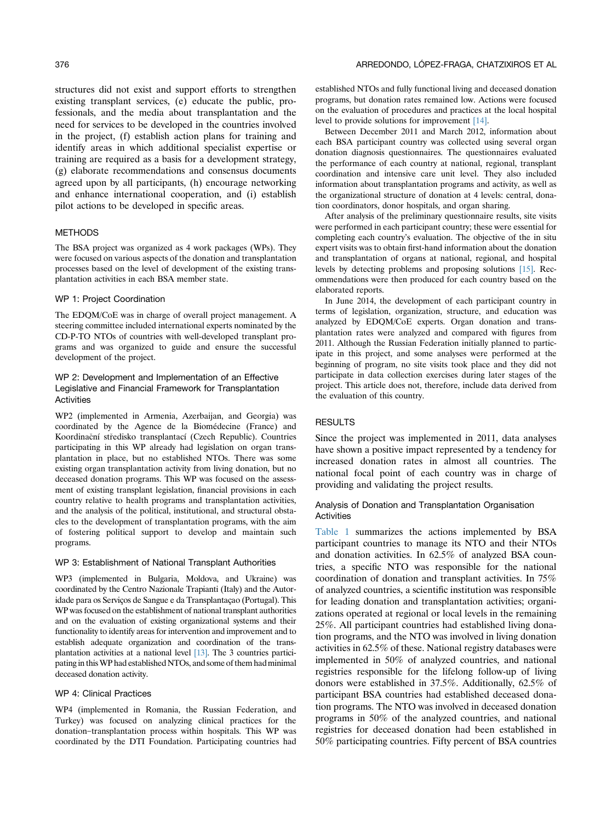structures did not exist and support efforts to strengthen existing transplant services, (e) educate the public, professionals, and the media about transplantation and the need for services to be developed in the countries involved in the project, (f) establish action plans for training and identify areas in which additional specialist expertise or training are required as a basis for a development strategy, (g) elaborate recommendations and consensus documents agreed upon by all participants, (h) encourage networking and enhance international cooperation, and (i) establish pilot actions to be developed in specific areas.

#### **METHODS**

The BSA project was organized as 4 work packages (WPs). They were focused on various aspects of the donation and transplantation processes based on the level of development of the existing transplantation activities in each BSA member state.

# WP 1: Project Coordination

The EDQM/CoE was in charge of overall project management. A steering committee included international experts nominated by the CD-P-TO NTOs of countries with well-developed transplant programs and was organized to guide and ensure the successful development of the project.

# WP 2: Development and Implementation of an Effective Legislative and Financial Framework for Transplantation **Activities**

WP2 (implemented in Armenia, Azerbaijan, and Georgia) was coordinated by the Agence de la Biomédecine (France) and Koordinační středisko transplantací (Czech Republic). Countries participating in this WP already had legislation on organ transplantation in place, but no established NTOs. There was some existing organ transplantation activity from living donation, but no deceased donation programs. This WP was focused on the assessment of existing transplant legislation, financial provisions in each country relative to health programs and transplantation activities, and the analysis of the political, institutional, and structural obstacles to the development of transplantation programs, with the aim of fostering political support to develop and maintain such programs.

# WP 3: Establishment of National Transplant Authorities

WP3 (implemented in Bulgaria, Moldova, and Ukraine) was coordinated by the Centro Nazionale Trapianti (Italy) and the Autoridade para os Serviços de Sangue e da Transplantaçao (Portugal). This WP was focused on the establishment of national transplant authorities and on the evaluation of existing organizational systems and their functionality to identify areas for intervention and improvement and to establish adequate organization and coordination of the transplantation activities at a national level [\[13\]](#page-7-0). The 3 countries participating in this WP had established NTOs, and some of them had minimal deceased donation activity.

#### WP 4: Clinical Practices

WP4 (implemented in Romania, the Russian Federation, and Turkey) was focused on analyzing clinical practices for the donation-transplantation process within hospitals. This WP was coordinated by the DTI Foundation. Participating countries had established NTOs and fully functional living and deceased donation programs, but donation rates remained low. Actions were focused on the evaluation of procedures and practices at the local hospital level to provide solutions for improvement [\[14\].](#page-7-0)

Between December 2011 and March 2012, information about each BSA participant country was collected using several organ donation diagnosis questionnaires. The questionnaires evaluated the performance of each country at national, regional, transplant coordination and intensive care unit level. They also included information about transplantation programs and activity, as well as the organizational structure of donation at 4 levels: central, donation coordinators, donor hospitals, and organ sharing.

After analysis of the preliminary questionnaire results, site visits were performed in each participant country; these were essential for completing each country's evaluation. The objective of the in situ expert visits was to obtain first-hand information about the donation and transplantation of organs at national, regional, and hospital levels by detecting problems and proposing solutions [\[15\]](#page-7-0). Recommendations were then produced for each country based on the elaborated reports.

In June 2014, the development of each participant country in terms of legislation, organization, structure, and education was analyzed by EDQM/CoE experts. Organ donation and transplantation rates were analyzed and compared with figures from 2011. Although the Russian Federation initially planned to participate in this project, and some analyses were performed at the beginning of program, no site visits took place and they did not participate in data collection exercises during later stages of the project. This article does not, therefore, include data derived from the evaluation of this country.

### **RESULTS**

Since the project was implemented in 2011, data analyses have shown a positive impact represented by a tendency for increased donation rates in almost all countries. The national focal point of each country was in charge of providing and validating the project results.

# Analysis of Donation and Transplantation Organisation **Activities**

[Table 1](#page-3-0) summarizes the actions implemented by BSA participant countries to manage its NTO and their NTOs and donation activities. In 62.5% of analyzed BSA countries, a specific NTO was responsible for the national coordination of donation and transplant activities. In 75% of analyzed countries, a scientific institution was responsible for leading donation and transplantation activities; organizations operated at regional or local levels in the remaining 25%. All participant countries had established living donation programs, and the NTO was involved in living donation activities in 62.5% of these. National registry databases were implemented in 50% of analyzed countries, and national registries responsible for the lifelong follow-up of living donors were established in 37.5%. Additionally, 62.5% of participant BSA countries had established deceased donation programs. The NTO was involved in deceased donation programs in 50% of the analyzed countries, and national registries for deceased donation had been established in 50% participating countries. Fifty percent of BSA countries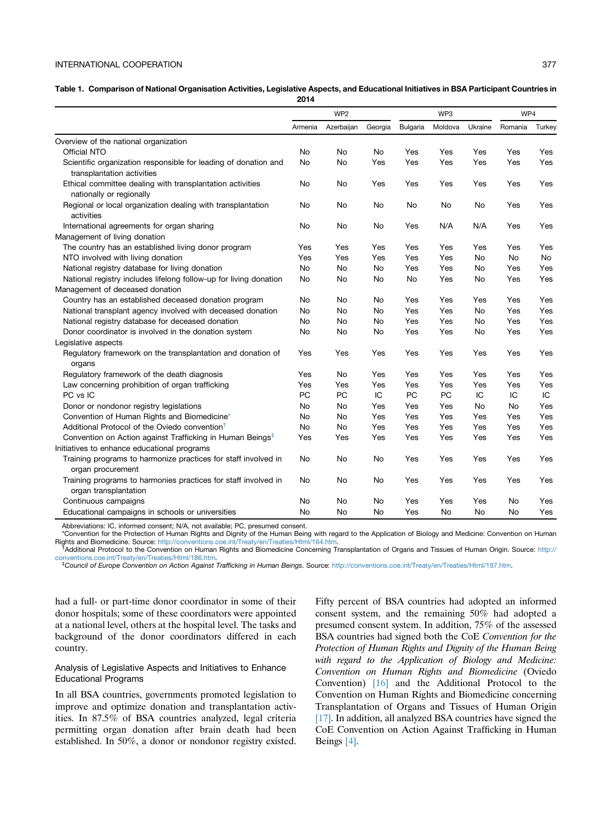<span id="page-3-0"></span>Table 1. Comparison of National Organisation Activities, Legislative Aspects, and Educational Initiatives in BSA Participant Countries in

|                                                                                               | WP <sub>2</sub> |            |         |          | WP3     | WP4       |           |           |
|-----------------------------------------------------------------------------------------------|-----------------|------------|---------|----------|---------|-----------|-----------|-----------|
|                                                                                               | Armenia         | Azerbaijan | Georgia | Bulgaria | Moldova | Ukraine   | Romania   | Turkey    |
| Overview of the national organization                                                         |                 |            |         |          |         |           |           |           |
| <b>Official NTO</b>                                                                           | <b>No</b>       | <b>No</b>  | No      | Yes      | Yes     | Yes       | Yes       | Yes       |
| Scientific organization responsible for leading of donation and<br>transplantation activities | <b>No</b>       | <b>No</b>  | Yes     | Yes      | Yes     | Yes       | Yes       | Yes       |
| Ethical committee dealing with transplantation activities<br>nationally or regionally         | No              | No         | Yes     | Yes      | Yes     | Yes       | Yes       | Yes       |
| Regional or local organization dealing with transplantation<br>activities                     | No              | No         | No      | No       | No      | No        | Yes       | Yes       |
| International agreements for organ sharing                                                    | No              | No         | No      | Yes      | N/A     | N/A       | Yes       | Yes       |
| Management of living donation                                                                 |                 |            |         |          |         |           |           |           |
| The country has an established living donor program                                           | Yes             | Yes        | Yes     | Yes      | Yes     | Yes       | Yes       | Yes       |
| NTO involved with living donation                                                             | Yes             | Yes        | Yes     | Yes      | Yes     | No        | No        | <b>No</b> |
| National registry database for living donation                                                | No              | No         | No      | Yes      | Yes     | No        | Yes       | Yes       |
| National registry includes lifelong follow-up for living donation                             | No              | No         | No      | No       | Yes     | No        | Yes       | Yes       |
| Management of deceased donation                                                               |                 |            |         |          |         |           |           |           |
| Country has an established deceased donation program                                          | <b>No</b>       | No         | No      | Yes      | Yes     | Yes       | Yes       | Yes       |
| National transplant agency involved with deceased donation                                    | <b>No</b>       | No         | No      | Yes      | Yes     | <b>No</b> | Yes       | Yes       |
| National registry database for deceased donation                                              | No              | No         | No      | Yes      | Yes     | No        | Yes       | Yes       |
| Donor coordinator is involved in the donation system                                          | No              | No         | No      | Yes      | Yes     | No        | Yes       | Yes       |
| Legislative aspects                                                                           |                 |            |         |          |         |           |           |           |
| Regulatory framework on the transplantation and donation of<br>organs                         | Yes             | Yes        | Yes     | Yes      | Yes     | Yes       | Yes       | Yes       |
| Regulatory framework of the death diagnosis                                                   | Yes             | No         | Yes     | Yes      | Yes     | Yes       | Yes       | Yes       |
| Law concerning prohibition of organ trafficking                                               | Yes             | Yes        | Yes     | Yes      | Yes     | Yes       | Yes       | Yes       |
| PC vs IC                                                                                      | <b>PC</b>       | PC         | IC      | PC       | PC      | IC        | IC        | IC        |
| Donor or nondonor registry legislations                                                       | No              | No         | Yes     | Yes      | Yes     | No        | No        | Yes       |
| Convention of Human Rights and Biomedicine*                                                   | No              | No         | Yes     | Yes      | Yes     | Yes       | Yes       | Yes       |
| Additional Protocol of the Oviedo convention <sup>†</sup>                                     | No              | No         | Yes     | Yes      | Yes     | Yes       | Yes       | Yes       |
| Convention on Action against Trafficking in Human Beings <sup>‡</sup>                         | Yes             | Yes        | Yes     | Yes      | Yes     | Yes       | Yes       | Yes       |
| Initiatives to enhance educational programs                                                   |                 |            |         |          |         |           |           |           |
| Training programs to harmonize practices for staff involved in<br>organ procurement           | No              | No         | No      | Yes      | Yes     | Yes       | Yes       | Yes       |
| Training programs to harmonies practices for staff involved in<br>organ transplantation       | No              | No         | No      | Yes      | Yes     | Yes       | Yes       | Yes       |
| Continuous campaigns                                                                          | No              | No         | No      | Yes      | Yes     | Yes       | No        | Yes       |
| Educational campaigns in schools or universities                                              | No              | No         | No      | Yes      | No      | No        | <b>No</b> | Yes       |

Abbreviations: IC, informed consent; N/A, not available; PC, presumed consent.

\*Convention for the Protection of Human Rights and Dignity of the Human Being with regard to the Application of Biology and Medicine: Convention on Human

Rights and Biomedicine. Source: <http://conventions.coe.int/Treaty/en/Treaties/Html/164.htm>.<br><sup>7</sup>Additional Protocol to the Convention on Human Rights and Biomedicine Concerning Transplantation of Organs and Tissues of Human [conventions.coe.int/Treaty/en/Treaties/Html/186.htm.](http://conventions.coe.int/Treaty/en/Treaties/Html/186.htm) ‡

Council of Europe Convention on Action Against Trafficking in Human Beings. Source: <http://conventions.coe.int/Treaty/en/Treaties/Html/197.htm>.

had a full- or part-time donor coordinator in some of their donor hospitals; some of these coordinators were appointed at a national level, others at the hospital level. The tasks and background of the donor coordinators differed in each country.

#### Analysis of Legislative Aspects and Initiatives to Enhance Educational Programs

In all BSA countries, governments promoted legislation to improve and optimize donation and transplantation activities. In 87.5% of BSA countries analyzed, legal criteria permitting organ donation after brain death had been established. In 50%, a donor or nondonor registry existed.

Fifty percent of BSA countries had adopted an informed consent system, and the remaining 50% had adopted a presumed consent system. In addition, 75% of the assessed BSA countries had signed both the CoE Convention for the Protection of Human Rights and Dignity of the Human Being with regard to the Application of Biology and Medicine: Convention on Human Rights and Biomedicine (Oviedo Convention) [\[16\]](#page-7-0) and the Additional Protocol to the Convention on Human Rights and Biomedicine concerning Transplantation of Organs and Tissues of Human Origin [\[17\].](#page-7-0) In addition, all analyzed BSA countries have signed the CoE Convention on Action Against Trafficking in Human Beings [\[4\].](#page-6-0)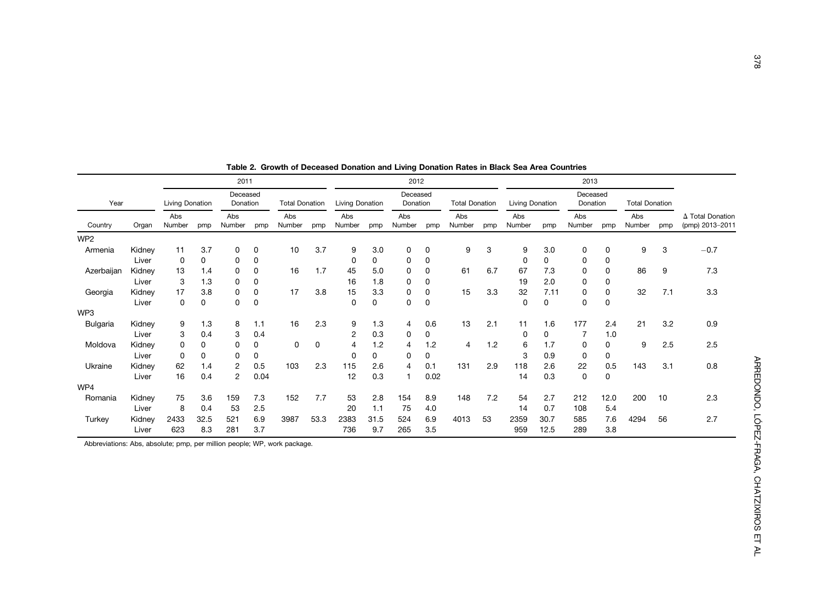<span id="page-4-0"></span>

|                 |                 | 2011                                    |                  |                     |                       |               |                 | 2012          |                      |               |                       |                | 2013            |               |                      |               |                       |               |     |                                     |
|-----------------|-----------------|-----------------------------------------|------------------|---------------------|-----------------------|---------------|-----------------|---------------|----------------------|---------------|-----------------------|----------------|-----------------|---------------|----------------------|---------------|-----------------------|---------------|-----|-------------------------------------|
| Year            |                 | Deceased<br>Living Donation<br>Donation |                  |                     | <b>Total Donation</b> |               | Living Donation |               | Deceased<br>Donation |               | <b>Total Donation</b> |                | Living Donation |               | Deceased<br>Donation |               | <b>Total Donation</b> |               |     |                                     |
| Country         | Organ           | Abs<br>Number                           | pmp              | Abs<br>Number       | pmp                   | Abs<br>Number | pmp             | Abs<br>Number | pmp                  | Abs<br>Number | pmp                   | Abs<br>Number  | pmp             | Abs<br>Number | pmp                  | Abs<br>Number | pmp                   | Abs<br>Number | pmp | Δ Total Donation<br>(pmp) 2013-2011 |
| WP <sub>2</sub> |                 |                                         |                  |                     |                       |               |                 |               |                      |               |                       |                |                 |               |                      |               |                       |               |     |                                     |
| Armenia         | Kidney<br>Liver | 11<br>0                                 | 3.7<br>0         | 0<br>0              | 0<br>0                | 10            | 3.7             | 9<br>0        | 3.0<br>0             | 0<br>0        | 0<br>0                | 9              | 3               | 9<br>0        | 3.0<br>0             | 0<br>0        | 0<br>0                | 9             | 3   | $-0.7$                              |
| Azerbaijan      | Kidney<br>Liver | 13<br>3                                 | 1.4<br>1.3       | 0<br>0              | 0<br>0                | 16            | 1.7             | 45<br>16      | 5.0<br>1.8           | 0<br>0        | 0<br>0                | 61             | 6.7             | 67<br>19      | 7.3<br>2.0           | 0<br>0        | 0<br>0                | 86            | 9   | 7.3                                 |
| Georgia         | Kidney<br>Liver | 17<br>0                                 | 3.8<br>0         | 0<br>0              | 0<br>0                | 17            | 3.8             | 15<br>0       | 3.3<br>0             | 0<br>0        | 0<br>0                | 15             | 3.3             | 32<br>0       | 7.11<br>0            | 0<br>0        | 0<br>0                | 32            | 7.1 | 3.3                                 |
| WP3             |                 |                                         |                  |                     |                       |               |                 |               |                      |               |                       |                |                 |               |                      |               |                       |               |     |                                     |
| Bulgaria        | Kidney<br>Liver | 9<br>3                                  | 1.3<br>0.4       | 8<br>3              | 1.1<br>0.4            | 16            | 2.3             | 9<br>2        | 1.3<br>0.3           | 4<br>0        | 0.6<br>0              | 13             | 2.1             | 11<br>0       | 1.6<br>0             | 177           | 2.4<br>1.0            | 21            | 3.2 | 0.9                                 |
| Moldova         | Kidnev<br>Liver | 0<br>0                                  | 0<br>$\mathbf 0$ | 0<br>0              | 0<br>0                | 0             | $\Omega$        | 4<br>0        | 1.2<br>0             | 4<br>0        | 1.2<br>0              | $\overline{4}$ | 1.2             | 6<br>3        | 1.7<br>0.9           | $\Omega$<br>0 | 0<br>0                | 9             | 2.5 | 2.5                                 |
| Ukraine         | Kidney<br>Liver | 62<br>16                                | 1.4<br>0.4       | $\overline{c}$<br>2 | 0.5<br>0.04           | 103           | 2.3             | 115<br>12     | 2.6<br>0.3           | 4             | 0.1<br>0.02           | 131            | 2.9             | 118<br>14     | 2.6<br>0.3           | 22<br>0       | 0.5<br>0              | 143           | 3.1 | 0.8                                 |
| WP4             |                 |                                         |                  |                     |                       |               |                 |               |                      |               |                       |                |                 |               |                      |               |                       |               |     |                                     |
| Romania         | Kidney<br>Liver | 75<br>8                                 | 3.6<br>0.4       | 159<br>53           | 7.3<br>2.5            | 152           | 7.7             | 53<br>20      | 2.8<br>1.1           | 154<br>75     | 8.9<br>4.0            | 148            | 7.2             | 54<br>14      | 2.7<br>0.7           | 212<br>108    | 12.0<br>5.4           | 200           | 10  | 2.3                                 |
| Turkey          | Kidney<br>Liver | 2433<br>623                             | 32.5<br>8.3      | 521<br>281          | 6.9<br>3.7            | 3987          | 53.3            | 2383<br>736   | 31.5<br>9.7          | 524<br>265    | 6.9<br>3.5            | 4013           | 53              | 2359<br>959   | 30.7<br>12.5         | 585<br>289    | 7.6<br>3.8            | 4294          | 56  | 2.7                                 |

Table 2. Growth of Deceased Donation and Living Donation Rates in Black Sea Area Countries

Abbreviations: Abs, absolute; pmp, per million people; WP, work package.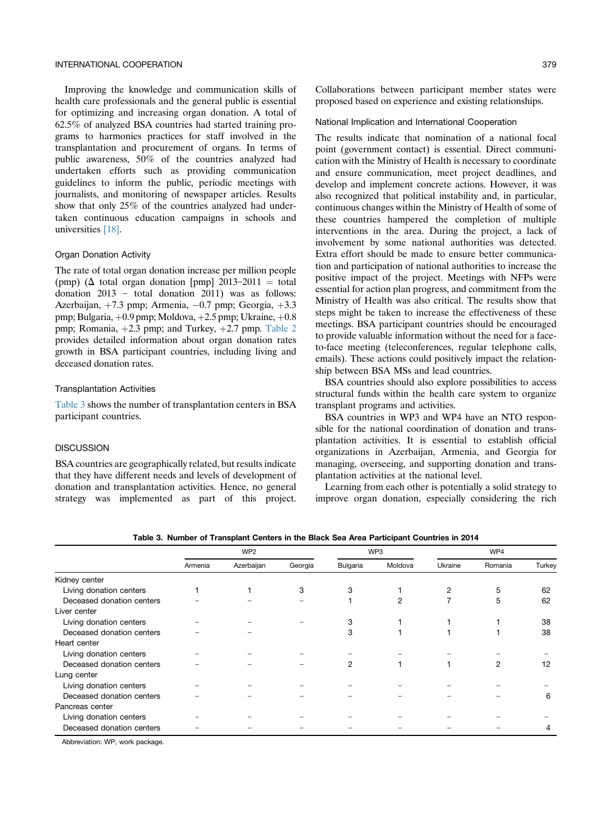#### INTERNATIONAL COOPERATION 379

Improving the knowledge and communication skills of health care professionals and the general public is essential for optimizing and increasing organ donation. A total of 62.5% of analyzed BSA countries had started training programs to harmonies practices for staff involved in the transplantation and procurement of organs. In terms of public awareness, 50% of the countries analyzed had undertaken efforts such as providing communication guidelines to inform the public, periodic meetings with journalists, and monitoring of newspaper articles. Results show that only 25% of the countries analyzed had undertaken continuous education campaigns in schools and universities [\[18\]](#page-7-0).

# Organ Donation Activity

The rate of total organ donation increase per million people (pmp) ( $\Delta$  total organ donation [pmp] 2013-2011 = total donation  $2013 - total$  donation  $2011$ ) was as follows: Azerbaijan, +7.3 pmp; Armenia, -0.7 pmp; Georgia, +3.3 pmp; Bulgaria,  $+0.9$  pmp; Moldova,  $+2.5$  pmp; Ukraine,  $+0.8$ pmp; Romania,  $+2.3$  pmp; and Turkey,  $+2.7$  pmp. [Table 2](#page-4-0) provides detailed information about organ donation rates growth in BSA participant countries, including living and deceased donation rates.

#### Transplantation Activities

Table 3 shows the number of transplantation centers in BSA participant countries.

#### DISCUSSION

BSA countries are geographically related, but results indicate that they have different needs and levels of development of donation and transplantation activities. Hence, no general strategy was implemented as part of this project. Collaborations between participant member states were proposed based on experience and existing relationships.

National Implication and International Cooperation

The results indicate that nomination of a national focal point (government contact) is essential. Direct communication with the Ministry of Health is necessary to coordinate and ensure communication, meet project deadlines, and develop and implement concrete actions. However, it was also recognized that political instability and, in particular, continuous changes within the Ministry of Health of some of these countries hampered the completion of multiple interventions in the area. During the project, a lack of involvement by some national authorities was detected. Extra effort should be made to ensure better communication and participation of national authorities to increase the positive impact of the project. Meetings with NFPs were essential for action plan progress, and commitment from the Ministry of Health was also critical. The results show that steps might be taken to increase the effectiveness of these meetings. BSA participant countries should be encouraged to provide valuable information without the need for a faceto-face meeting (teleconferences, regular telephone calls, emails). These actions could positively impact the relationship between BSA MSs and lead countries.

BSA countries should also explore possibilities to access structural funds within the health care system to organize transplant programs and activities.

BSA countries in WP3 and WP4 have an NTO responsible for the national coordination of donation and transplantation activities. It is essential to establish official organizations in Azerbaijan, Armenia, and Georgia for managing, overseeing, and supporting donation and transplantation activities at the national level.

Learning from each other is potentially a solid strategy to improve organ donation, especially considering the rich

Table 3. Number of Transplant Centers in the Black Sea Area Participant Countries in 2014

|                           |         | WP <sub>2</sub> |         |          | WP3            | WP4     |         |        |  |
|---------------------------|---------|-----------------|---------|----------|----------------|---------|---------|--------|--|
|                           | Armenia | Azerbaijan      | Georgia | Bulgaria | Moldova        | Ukraine | Romania | Turkey |  |
| Kidney center             |         |                 |         |          |                |         |         |        |  |
| Living donation centers   |         |                 | 3       | 3        |                | 2       | 5       | 62     |  |
| Deceased donation centers |         |                 |         |          | $\overline{2}$ |         | 5       | 62     |  |
| Liver center              |         |                 |         |          |                |         |         |        |  |
| Living donation centers   |         |                 |         | 3        |                |         |         | 38     |  |
| Deceased donation centers |         |                 |         | 3        |                |         |         | 38     |  |
| Heart center              |         |                 |         |          |                |         |         |        |  |
| Living donation centers   |         |                 |         |          |                |         |         |        |  |
| Deceased donation centers |         |                 |         | 2        |                |         | 2       | 12     |  |
| Lung center               |         |                 |         |          |                |         |         |        |  |
| Living donation centers   |         |                 |         |          |                |         |         |        |  |
| Deceased donation centers |         |                 |         |          |                |         |         | 6      |  |
| Pancreas center           |         |                 |         |          |                |         |         |        |  |
| Living donation centers   |         |                 |         |          |                |         |         |        |  |
| Deceased donation centers |         |                 |         |          |                |         |         | 4      |  |

Abbreviation: WP, work package.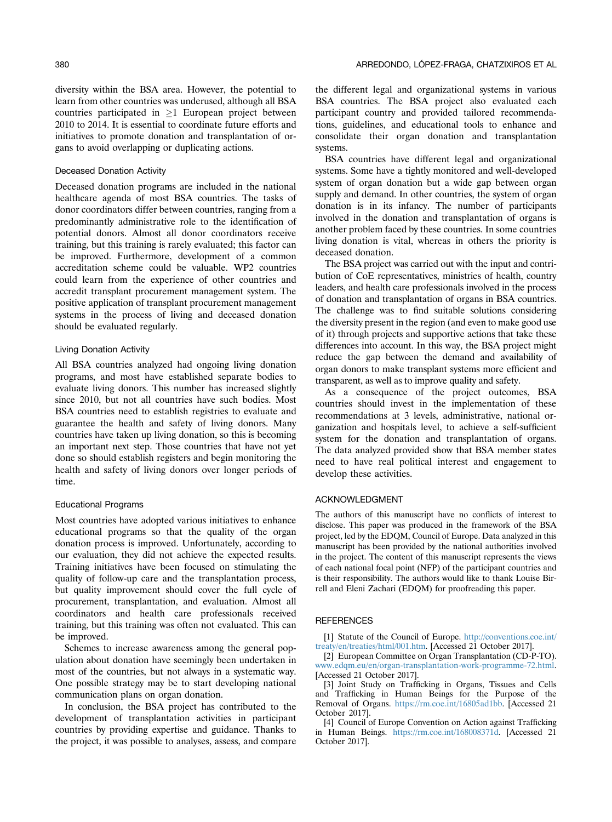<span id="page-6-0"></span>diversity within the BSA area. However, the potential to learn from other countries was underused, although all BSA countries participated in  $\geq 1$  European project between 2010 to 2014. It is essential to coordinate future efforts and initiatives to promote donation and transplantation of organs to avoid overlapping or duplicating actions.

# Deceased Donation Activity

Deceased donation programs are included in the national healthcare agenda of most BSA countries. The tasks of donor coordinators differ between countries, ranging from a predominantly administrative role to the identification of potential donors. Almost all donor coordinators receive training, but this training is rarely evaluated; this factor can be improved. Furthermore, development of a common accreditation scheme could be valuable. WP2 countries could learn from the experience of other countries and accredit transplant procurement management system. The positive application of transplant procurement management systems in the process of living and deceased donation should be evaluated regularly.

# Living Donation Activity

All BSA countries analyzed had ongoing living donation programs, and most have established separate bodies to evaluate living donors. This number has increased slightly since 2010, but not all countries have such bodies. Most BSA countries need to establish registries to evaluate and guarantee the health and safety of living donors. Many countries have taken up living donation, so this is becoming an important next step. Those countries that have not yet done so should establish registers and begin monitoring the health and safety of living donors over longer periods of time.

#### Educational Programs

Most countries have adopted various initiatives to enhance educational programs so that the quality of the organ donation process is improved. Unfortunately, according to our evaluation, they did not achieve the expected results. Training initiatives have been focused on stimulating the quality of follow-up care and the transplantation process, but quality improvement should cover the full cycle of procurement, transplantation, and evaluation. Almost all coordinators and health care professionals received training, but this training was often not evaluated. This can be improved.

Schemes to increase awareness among the general population about donation have seemingly been undertaken in most of the countries, but not always in a systematic way. One possible strategy may be to start developing national communication plans on organ donation.

In conclusion, the BSA project has contributed to the development of transplantation activities in participant countries by providing expertise and guidance. Thanks to the project, it was possible to analyses, assess, and compare the different legal and organizational systems in various BSA countries. The BSA project also evaluated each participant country and provided tailored recommendations, guidelines, and educational tools to enhance and consolidate their organ donation and transplantation systems.

BSA countries have different legal and organizational systems. Some have a tightly monitored and well-developed system of organ donation but a wide gap between organ supply and demand. In other countries, the system of organ donation is in its infancy. The number of participants involved in the donation and transplantation of organs is another problem faced by these countries. In some countries living donation is vital, whereas in others the priority is deceased donation.

The BSA project was carried out with the input and contribution of CoE representatives, ministries of health, country leaders, and health care professionals involved in the process of donation and transplantation of organs in BSA countries. The challenge was to find suitable solutions considering the diversity present in the region (and even to make good use of it) through projects and supportive actions that take these differences into account. In this way, the BSA project might reduce the gap between the demand and availability of organ donors to make transplant systems more efficient and transparent, as well as to improve quality and safety.

As a consequence of the project outcomes, BSA countries should invest in the implementation of these recommendations at 3 levels, administrative, national organization and hospitals level, to achieve a self-sufficient system for the donation and transplantation of organs. The data analyzed provided show that BSA member states need to have real political interest and engagement to develop these activities.

#### ACKNOWLEDGMENT

The authors of this manuscript have no conflicts of interest to disclose. This paper was produced in the framework of the BSA project, led by the EDQM, Council of Europe. Data analyzed in this manuscript has been provided by the national authorities involved in the project. The content of this manuscript represents the views of each national focal point (NFP) of the participant countries and is their responsibility. The authors would like to thank Louise Birrell and Eleni Zachari (EDQM) for proofreading this paper.

#### **REFERENCES**

[1] Statute of the Council of Europe. [http://conventions.coe.int/](http://conventions.coe.int/treaty/en/treaties/html/001.htm) [treaty/en/treaties/html/001.htm.](http://conventions.coe.int/treaty/en/treaties/html/001.htm) [Accessed 21 October 2017].

[2] European Committee on Organ Transplantation (CD-P-TO). [www.edqm.eu/en/organ-transplantation-work-programme-72.html](http://www.edqm.eu/en/organ-transplantation-work-programme-72.html). [Accessed 21 October 2017].

[3] Joint Study on Trafficking in Organs, Tissues and Cells and Trafficking in Human Beings for the Purpose of the Removal of Organs. [https://rm.coe.int/16805ad1bb.](https://rm.coe.int/16805ad1bb) [Accessed 21 October 2017].

[4] Council of Europe Convention on Action against Trafficking in Human Beings. <https://rm.coe.int/168008371d>. [Accessed 21 October 2017].